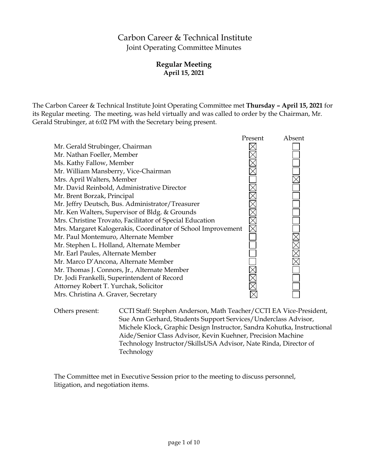# Carbon Career & Technical Institute Joint Operating Committee Minutes

# **Regular Meeting April 15, 2021**

The Carbon Career & Technical Institute Joint Operating Committee met **Thursday – April 15, 2021** for its Regular meeting. The meeting, was held virtually and was called to order by the Chairman, Mr. Gerald Strubinger, at 6:02 PM with the Secretary being present.



Others present: CCTI Staff: Stephen Anderson, Math Teacher/CCTI EA Vice-President, Sue Ann Gerhard, Students Support Services/Underclass Advisor, Michele Klock, Graphic Design Instructor, Sandra Kohutka, Instructional Aide/Senior Class Advisor, Kevin Kuehner, Precision Machine Technology Instructor/SkillsUSA Advisor, Nate Rinda, Director of Technology

The Committee met in Executive Session prior to the meeting to discuss personnel, litigation, and negotiation items.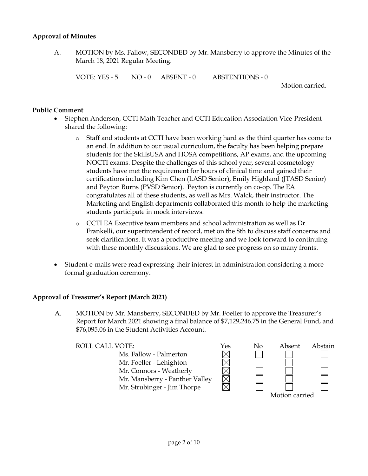#### **Approval of Minutes**

A. MOTION by Ms. Fallow, SECONDED by Mr. Mansberry to approve the Minutes of the March 18, 2021 Regular Meeting.

VOTE: YES - 5 NO - 0 ABSENT - 0 ABSTENTIONS - 0

Motion carried.

### **Public Comment**

- Stephen Anderson, CCTI Math Teacher and CCTI Education Association Vice-President shared the following:
	- o Staff and students at CCTI have been working hard as the third quarter has come to an end. In addition to our usual curriculum, the faculty has been helping prepare students for the SkillsUSA and HOSA competitions, AP exams, and the upcoming NOCTI exams. Despite the challenges of this school year, several cosmetology students have met the requirement for hours of clinical time and gained their certifications including Kim Chen (LASD Senior), Emily Highland (JTASD Senior) and Peyton Burns (PVSD Senior). Peyton is currently on co-op. The EA congratulates all of these students, as well as Mrs. Walck, their instructor. The Marketing and English departments collaborated this month to help the marketing students participate in mock interviews.
	- o CCTI EA Executive team members and school administration as well as Dr. Frankelli, our superintendent of record, met on the 8th to discuss staff concerns and seek clarifications. It was a productive meeting and we look forward to continuing with these monthly discussions. We are glad to see progress on so many fronts.
- Student e-mails were read expressing their interest in administration considering a more formal graduation ceremony.

# **Approval of Treasurer's Report (March 2021)**

A. MOTION by Mr. Mansberry, SECONDED by Mr. Foeller to approve the Treasurer's Report for March 2021 showing a final balance of \$7,129,246.75 in the General Fund, and \$76,095.06 in the Student Activities Account.

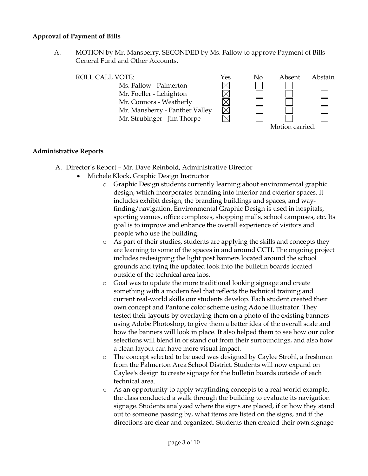#### **Approval of Payment of Bills**

A. MOTION by Mr. Mansberry, SECONDED by Ms. Fallow to approve Payment of Bills - General Fund and Other Accounts.

ROLL CALL VOTE:<br>
Ms. Fallow - Palmerton<br>
Mr. Foeller - Lehighton<br>
Mr. Connors - Weatherly Ms. Fallow - Palmerton Mr. Foeller - Lehighton Mr. Connors - Weatherly Mr. Mansberry - Panther Valley Mr. Strubinger - Jim Thorpe Motion carried.

#### **Administrative Reports**

- A. Director's Report Mr. Dave Reinbold, Administrative Director
	- Michele Klock, Graphic Design Instructor
		- o Graphic Design students currently learning about environmental graphic design, which incorporates branding into interior and exterior spaces. It includes exhibit design, the branding buildings and spaces, and wayfinding/navigation. Environmental Graphic Design is used in hospitals, sporting venues, office complexes, shopping malls, school campuses, etc. Its goal is to improve and enhance the overall experience of visitors and people who use the building.
		- o As part of their studies, students are applying the skills and concepts they are learning to some of the spaces in and around CCTI. The ongoing project includes redesigning the light post banners located around the school grounds and tying the updated look into the bulletin boards located outside of the technical area labs.
		- o Goal was to update the more traditional looking signage and create something with a modern feel that reflects the technical training and current real-world skills our students develop. Each student created their own concept and Pantone color scheme using Adobe Illustrator. They tested their layouts by overlaying them on a photo of the existing banners using Adobe Photoshop, to give them a better idea of the overall scale and how the banners will look in place. It also helped them to see how our color selections will blend in or stand out from their surroundings, and also how a clean layout can have more visual impact.
		- o The concept selected to be used was designed by Caylee Strohl, a freshman from the Palmerton Area School District. Students will now expand on Caylee's design to create signage for the bulletin boards outside of each technical area.
		- o As an opportunity to apply wayfinding concepts to a real-world example, the class conducted a walk through the building to evaluate its navigation signage. Students analyzed where the signs are placed, if or how they stand out to someone passing by, what items are listed on the signs, and if the directions are clear and organized. Students then created their own signage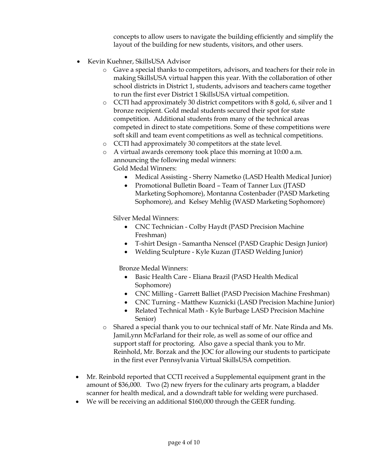concepts to allow users to navigate the building efficiently and simplify the layout of the building for new students, visitors, and other users.

- Kevin Kuehner, SkillsUSA Advisor
	- o Gave a special thanks to competitors, advisors, and teachers for their role in making SkillsUSA virtual happen this year. With the collaboration of other school districts in District 1, students, advisors and teachers came together to run the first ever District 1 SkillsUSA virtual competition.
	- $\circ$  CCTI had approximately 30 district competitors with 8 gold, 6, silver and 1 bronze recipient. Gold medal students secured their spot for state competition. Additional students from many of the technical areas competed in direct to state competitions. Some of these competitions were soft skill and team event competitions as well as technical competitions.
	- o CCTI had approximately 30 competitors at the state level.
	- o A virtual awards ceremony took place this morning at 10:00 a.m. announcing the following medal winners:

Gold Medal Winners:

- Medical Assisting Sherry Nametko (LASD Health Medical Junior)
- Promotional Bulletin Board Team of Tanner Lux (JTASD Marketing Sophomore), Montanna Costenbader (PASD Marketing Sophomore), and Kelsey Mehlig (WASD Marketing Sophomore)

Silver Medal Winners:

- CNC Technician Colby Haydt (PASD Precision Machine Freshman)
- T-shirt Design Samantha Nenscel (PASD Graphic Design Junior)
- Welding Sculpture Kyle Kuzan (JTASD Welding Junior)

Bronze Medal Winners:

- Basic Health Care Eliana Brazil (PASD Health Medical Sophomore)
- CNC Milling Garrett Balliet (PASD Precision Machine Freshman)
- CNC Turning Matthew Kuznicki (LASD Precision Machine Junior)
- Related Technical Math Kyle Burbage LASD Precision Machine Senior)
- o Shared a special thank you to our technical staff of Mr. Nate Rinda and Ms. JamiLynn McFarland for their role, as well as some of our office and support staff for proctoring. Also gave a special thank you to Mr. Reinhold, Mr. Borzak and the JOC for allowing our students to participate in the first ever Pennsylvania Virtual SkillsUSA competition.
- Mr. Reinbold reported that CCTI received a Supplemental equipment grant in the amount of \$36,000. Two (2) new fryers for the culinary arts program, a bladder scanner for health medical, and a downdraft table for welding were purchased.
- We will be receiving an additional \$160,000 through the GEER funding.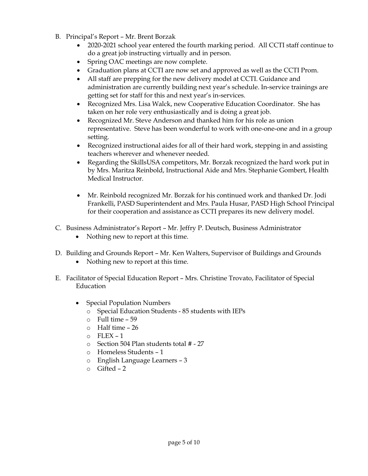- B. Principal's Report Mr. Brent Borzak
	- 2020-2021 school year entered the fourth marking period. All CCTI staff continue to do a great job instructing virtually and in person.
	- Spring OAC meetings are now complete.
	- Graduation plans at CCTI are now set and approved as well as the CCTI Prom.
	- All staff are prepping for the new delivery model at CCTI. Guidance and administration are currently building next year's schedule. In-service trainings are getting set for staff for this and next year's in-services.
	- Recognized Mrs. Lisa Walck, new Cooperative Education Coordinator. She has taken on her role very enthusiastically and is doing a great job.
	- Recognized Mr. Steve Anderson and thanked him for his role as union representative. Steve has been wonderful to work with one-one-one and in a group setting.
	- Recognized instructional aides for all of their hard work, stepping in and assisting teachers wherever and whenever needed.
	- Regarding the SkillsUSA competitors, Mr. Borzak recognized the hard work put in by Mrs. Maritza Reinbold, Instructional Aide and Mrs. Stephanie Gombert, Health Medical Instructor.
	- Mr. Reinbold recognized Mr. Borzak for his continued work and thanked Dr. Jodi Frankelli, PASD Superintendent and Mrs. Paula Husar, PASD High School Principal for their cooperation and assistance as CCTI prepares its new delivery model.
- C. Business Administrator's Report Mr. Jeffry P. Deutsch, Business Administrator
	- Nothing new to report at this time.
- D. Building and Grounds Report Mr. Ken Walters, Supervisor of Buildings and Grounds
	- Nothing new to report at this time.
- E. Facilitator of Special Education Report Mrs. Christine Trovato, Facilitator of Special Education
	- Special Population Numbers
		- o Special Education Students 85 students with IEPs
		- $\circ$  Full time 59
		- o Half time 26
		- $O$  FLEX 1
		- o Section 504 Plan students total # 27
		- o Homeless Students 1
		- o English Language Learners 3
		- o Gifted 2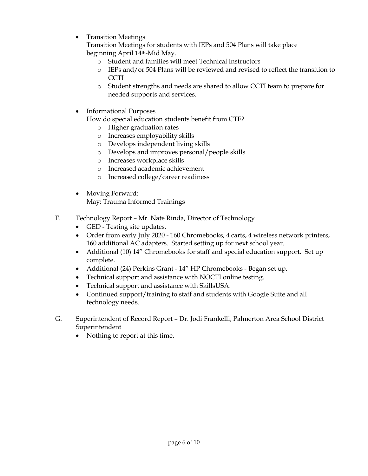• Transition Meetings

Transition Meetings for students with IEPs and 504 Plans will take place beginning April 14th-Mid May.

- o Student and families will meet Technical Instructors
- o IEPs and/or 504 Plans will be reviewed and revised to reflect the transition to CCTI
- o Student strengths and needs are shared to allow CCTI team to prepare for needed supports and services.
- Informational Purposes

How do special education students benefit from CTE?

- o Higher graduation rates
- o Increases employability skills
- o Develops independent living skills
- o Develops and improves personal/people skills
- o Increases workplace skills
- o Increased academic achievement
- o Increased college/career readiness
- Moving Forward: May: Trauma Informed Trainings
- F. Technology Report Mr. Nate Rinda, Director of Technology
	- GED Testing site updates.
	- Order from early July 2020 160 Chromebooks, 4 carts, 4 wireless network printers, 160 additional AC adapters. Started setting up for next school year.
	- Additional (10) 14" Chromebooks for staff and special education support. Set up complete.
	- Additional (24) Perkins Grant 14" HP Chromebooks Began set up.
	- Technical support and assistance with NOCTI online testing.
	- Technical support and assistance with SkillsUSA.
	- Continued support/training to staff and students with Google Suite and all technology needs.
- G. Superintendent of Record Report Dr. Jodi Frankelli, Palmerton Area School District Superintendent
	- Nothing to report at this time.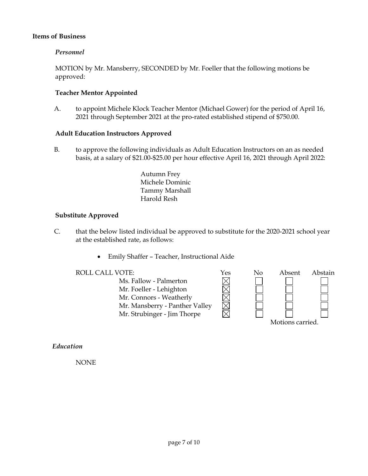#### **Items of Business**

#### *Personnel*

MOTION by Mr. Mansberry, SECONDED by Mr. Foeller that the following motions be approved:

#### **Teacher Mentor Appointed**

A. to appoint Michele Klock Teacher Mentor (Michael Gower) for the period of April 16, 2021 through September 2021 at the pro-rated established stipend of \$750.00.

#### **Adult Education Instructors Approved**

B. to approve the following individuals as Adult Education Instructors on an as needed basis, at a salary of \$21.00-\$25.00 per hour effective April 16, 2021 through April 2022:

> Autumn Frey Michele Dominic Tammy Marshall Harold Resh

#### **Substitute Approved**

- C. that the below listed individual be approved to substitute for the 2020-2021 school year at the established rate, as follows:
	- Emily Shaffer Teacher, Instructional Aide

Ms. Fallow - Palmerton Mr. Foeller - Lehighton Mr. Connors - Weatherly Mr. Mansberry - Panther Valley Mr. Strubinger - Jim Thorpe



#### *Education*

NONE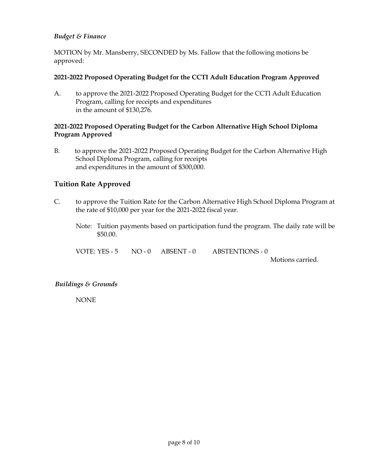## *Budget & Finance*

MOTION by Mr. Mansberry, SECONDED by Ms. Fallow that the following motions be approved:

#### **2021-2022 Proposed Operating Budget for the CCTI Adult Education Program Approved**

A. to approve the 2021-2022 Proposed Operating Budget for the CCTI Adult Education Program, calling for receipts and expenditures in the amount of \$130,276.

### **2021-2022 Proposed Operating Budget for the Carbon Alternative High School Diploma Program Approved**

B. to approve the 2021-2022 Proposed Operating Budget for the Carbon Alternative High School Diploma Program, calling for receipts and expenditures in the amount of \$300,000.

# **Tuition Rate Approved**

- C. to approve the Tuition Rate for the Carbon Alternative High School Diploma Program at the rate of \$10,000 per year for the 2021-2022 fiscal year.
	- Note: Tuition payments based on participation fund the program. The daily rate will be \$50.00.

VOTE: YES - 5 NO - 0 ABSENT - 0 ABSTENTIONS - 0 Motions carried.

# *Buildings & Grounds*

NONE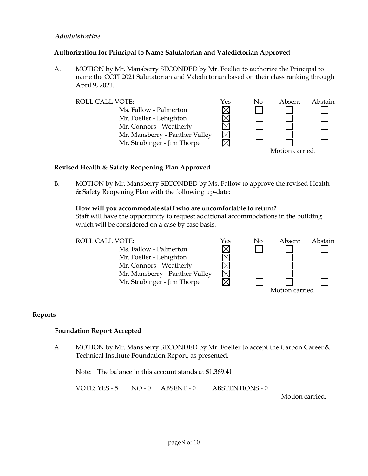### *Administrative*

### **Authorization for Principal to Name Salutatorian and Valedictorian Approved**

A. MOTION by Mr. Mansberry SECONDED by Mr. Foeller to authorize the Principal to name the CCTI 2021 Salutatorian and Valedictorian based on their class ranking through April 9, 2021.

 $\boxtimes$ Ms. Fallow - Palmerton Mr. Foeller - Lehighton  $\boxtimes$ Mr. Connors - Weatherly Mr. Mansberry - Panther Valley Mr. Strubinger - Jim Thorpe



#### **Revised Health & Safety Reopening Plan Approved**

B. MOTION by Mr. Mansberry SECONDED by Ms. Fallow to approve the revised Health & Safety Reopening Plan with the following up-date:

#### **How will you accommodate staff who are uncomfortable to return?**

Staff will have the opportunity to request additional accommodations in the building which will be considered on a case by case basis.



#### **Reports**

#### **Foundation Report Accepted**

A. MOTION by Mr. Mansberry SECONDED by Mr. Foeller to accept the Carbon Career & Technical Institute Foundation Report, as presented.

Note: The balance in this account stands at \$1,369.41.

VOTE: YES - 5 NO - 0 ABSENT - 0 ABSTENTIONS - 0

Motion carried.